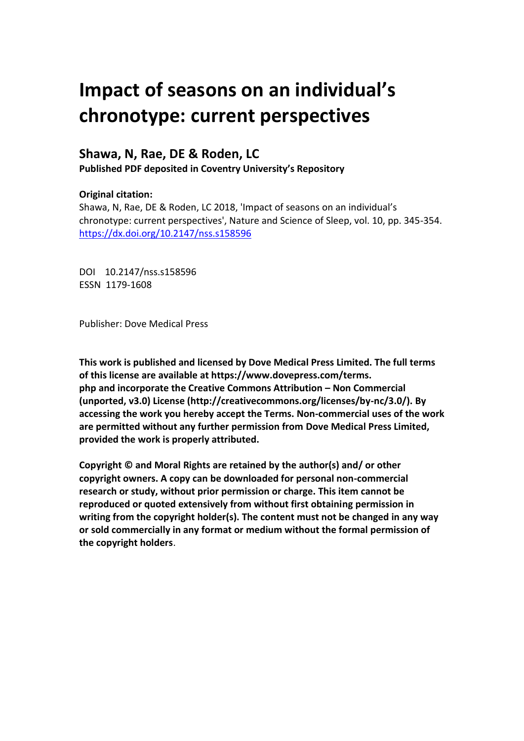# **Impact of seasons on an individual's chronotype: current perspectives**

## **Shawa, N, Rae, DE & Roden, LC**

**Published PDF deposited in Coventry University's Repository** 

#### **Original citation:**

Shawa, N, Rae, DE & Roden, LC 2018, 'Impact of seasons on an individual's chronotype: current perspectives', Nature and Science of Sleep, vol. 10, pp. 345-354. https://dx.doi.org/10.2147/nss.s158596

DOI 10.2147/nss.s158596 ESSN 1179-1608

Publisher: Dove Medical Press

**This work is published and licensed by Dove Medical Press Limited. The full terms of this license are available at https://www.dovepress.com/terms. php and incorporate the Creative Commons Attribution – Non Commercial (unported, v3.0) License (http://creativecommons.org/licenses/by-nc/3.0/). By accessing the work you hereby accept the Terms. Non-commercial uses of the work are permitted without any further permission from Dove Medical Press Limited, provided the work is properly attributed.**

**Copyright © and Moral Rights are retained by the author(s) and/ or other copyright owners. A copy can be downloaded for personal non-commercial research or study, without prior permission or charge. This item cannot be reproduced or quoted extensively from without first obtaining permission in writing from the copyright holder(s). The content must not be changed in any way or sold commercially in any format or medium without the formal permission of the copyright holders**.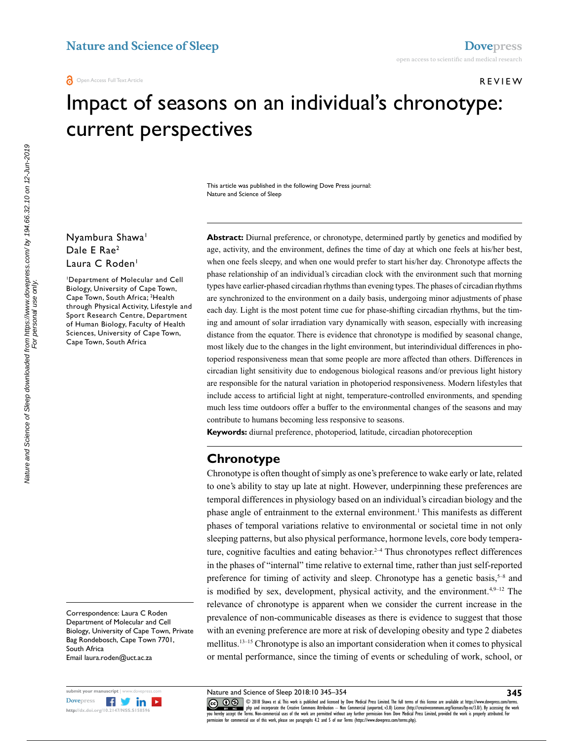#### Review

# Impact of seasons on an individual's chronotype: current perspectives

This article was published in the following Dove Press journal: Nature and Science of Sleep

#### Nyambura Shawa<sup>1</sup> Dale E Rae2 Laura C Roden<sup>1</sup>

1 Department of Molecular and Cell Biology, University of Cape Town, Cape Town, South Africa; 2 Health through Physical Activity, Lifestyle and Sport Research Centre, Department of Human Biology, Faculty of Health Sciences, University of Cape Town, Cape Town, South Africa

Correspondence: Laura C Roden Department of Molecular and Cell Biology, University of Cape Town, Private Bag Rondebosch, Cape Town 7701, South Africa Email<laura.roden@uct.ac.za>



Abstract: Diurnal preference, or chronotype, determined partly by genetics and modified by age, activity, and the environment, defines the time of day at which one feels at his/her best, when one feels sleepy, and when one would prefer to start his/her day. Chronotype affects the phase relationship of an individual's circadian clock with the environment such that morning types have earlier-phased circadian rhythms than evening types. The phases of circadian rhythms are synchronized to the environment on a daily basis, undergoing minor adjustments of phase each day. Light is the most potent time cue for phase-shifting circadian rhythms, but the timing and amount of solar irradiation vary dynamically with season, especially with increasing distance from the equator. There is evidence that chronotype is modified by seasonal change, most likely due to the changes in the light environment, but interindividual differences in photoperiod responsiveness mean that some people are more affected than others. Differences in circadian light sensitivity due to endogenous biological reasons and/or previous light history are responsible for the natural variation in photoperiod responsiveness. Modern lifestyles that include access to artificial light at night, temperature-controlled environments, and spending much less time outdoors offer a buffer to the environmental changes of the seasons and may contribute to humans becoming less responsive to seasons.

**Keywords:** diurnal preference, photoperiod, latitude, circadian photoreception

## **Chronotype**

Chronotype is often thought of simply as one's preference to wake early or late, related to one's ability to stay up late at night. However, underpinning these preferences are temporal differences in physiology based on an individual's circadian biology and the phase angle of entrainment to the external environment.<sup>1</sup> This manifests as different phases of temporal variations relative to environmental or societal time in not only sleeping patterns, but also physical performance, hormone levels, core body temperature, cognitive faculties and eating behavior.<sup> $2-4$ </sup> Thus chronotypes reflect differences in the phases of "internal" time relative to external time, rather than just self-reported preference for timing of activity and sleep. Chronotype has a genetic basis,  $5-8$  and is modified by sex, development, physical activity, and the environment.<sup>4,9–12</sup> The relevance of chronotype is apparent when we consider the current increase in the prevalence of non-communicable diseases as there is evidence to suggest that those with an evening preference are more at risk of developing obesity and type 2 diabetes mellitus.13–15 Chronotype is also an important consideration when it comes to physical or mental performance, since the timing of events or scheduling of work, school, or

Nature and Science of Sleep 2018:10 345–354

CO 18 Shawa et al. This work is published and licensed by Dove Medical Press Limited. The full terms of this license are available at https://www.dovepress.com/terms.<br> [you hereby accept the T](http://www.dovepress.com/permissions.php)erms. Non-commercial uses of th permission for commercial use of this work, please see paragraphs 4.2 and 5 of our Terms (https://www.dovepress.com/terms.php).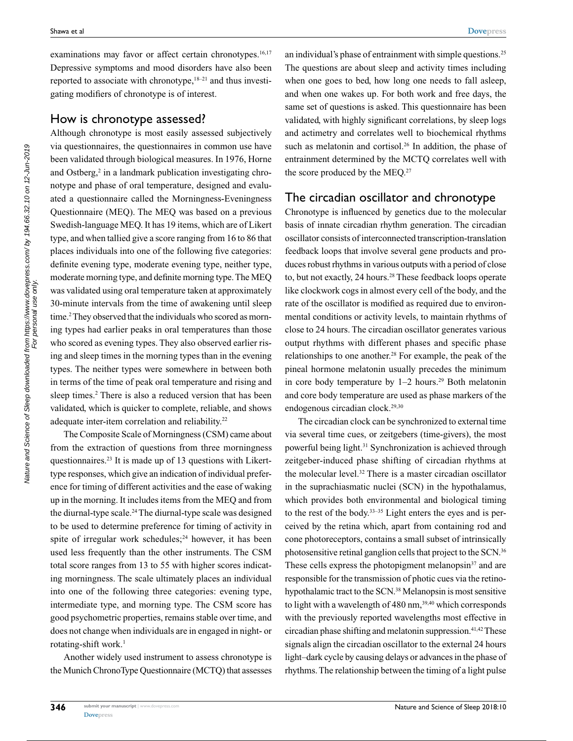examinations may favor or affect certain chronotypes.<sup>16,17</sup> Depressive symptoms and mood disorders have also been reported to associate with chronotype, $18-21$  and thus investigating modifiers of chronotype is of interest.

#### How is chronotype assessed?

Although chronotype is most easily assessed subjectively via questionnaires, the questionnaires in common use have been validated through biological measures. In 1976, Horne and Ostberg,<sup>2</sup> in a landmark publication investigating chronotype and phase of oral temperature, designed and evaluated a questionnaire called the Morningness-Eveningness Questionnaire (MEQ). The MEQ was based on a previous Swedish-language MEQ. It has 19 items, which are of Likert type, and when tallied give a score ranging from 16 to 86 that places individuals into one of the following five categories: definite evening type, moderate evening type, neither type, moderate morning type, and definite morning type. The MEQ was validated using oral temperature taken at approximately 30-minute intervals from the time of awakening until sleep time.<sup>2</sup> They observed that the individuals who scored as morning types had earlier peaks in oral temperatures than those who scored as evening types. They also observed earlier rising and sleep times in the morning types than in the evening types. The neither types were somewhere in between both in terms of the time of peak oral temperature and rising and sleep times.<sup>2</sup> There is also a reduced version that has been validated, which is quicker to complete, reliable, and shows adequate inter-item correlation and reliability.<sup>22</sup>

The Composite Scale of Morningness (CSM) came about from the extraction of questions from three morningness questionnaires.23 It is made up of 13 questions with Likerttype responses, which give an indication of individual preference for timing of different activities and the ease of waking up in the morning. It includes items from the MEQ and from the diurnal-type scale.24 The diurnal-type scale was designed to be used to determine preference for timing of activity in spite of irregular work schedules;<sup>24</sup> however, it has been used less frequently than the other instruments. The CSM total score ranges from 13 to 55 with higher scores indicating morningness. The scale ultimately places an individual into one of the following three categories: evening type, intermediate type, and morning type. The CSM score has good psychometric properties, remains stable over time, and does not change when individuals are in engaged in night- or rotating-shift work.<sup>1</sup>

Another widely used instrument to assess chronotype is the Munich ChronoType Questionnaire (MCTQ) that assesses an individual's phase of entrainment with simple questions.<sup>25</sup> The questions are about sleep and activity times including when one goes to bed, how long one needs to fall asleep, and when one wakes up. For both work and free days, the same set of questions is asked. This questionnaire has been validated, with highly significant correlations, by sleep logs and actimetry and correlates well to biochemical rhythms such as melatonin and cortisol.<sup>26</sup> In addition, the phase of entrainment determined by the MCTQ correlates well with the score produced by the MEQ.<sup>27</sup>

#### The circadian oscillator and chronotype

Chronotype is influenced by genetics due to the molecular basis of innate circadian rhythm generation. The circadian oscillator consists of interconnected transcription-translation feedback loops that involve several gene products and produces robust rhythms in various outputs with a period of close to, but not exactly, 24 hours.<sup>28</sup> These feedback loops operate like clockwork cogs in almost every cell of the body, and the rate of the oscillator is modified as required due to environmental conditions or activity levels, to maintain rhythms of close to 24 hours. The circadian oscillator generates various output rhythms with different phases and specific phase relationships to one another.28 For example, the peak of the pineal hormone melatonin usually precedes the minimum in core body temperature by  $1-2$  hours.<sup>29</sup> Both melatonin and core body temperature are used as phase markers of the endogenous circadian clock.<sup>29,30</sup>

The circadian clock can be synchronized to external time via several time cues, or zeitgebers (time-givers), the most powerful being light.31 Synchronization is achieved through zeitgeber-induced phase shifting of circadian rhythms at the molecular level.<sup>32</sup> There is a master circadian oscillator in the suprachiasmatic nuclei (SCN) in the hypothalamus, which provides both environmental and biological timing to the rest of the body.33–35 Light enters the eyes and is perceived by the retina which, apart from containing rod and cone photoreceptors, contains a small subset of intrinsically photosensitive retinal ganglion cells that project to the SCN.36 These cells express the photopigment melanopsin $37$  and are responsible for the transmission of photic cues via the retinohypothalamic tract to the SCN.<sup>38</sup> Melanopsin is most sensitive to light with a wavelength of  $480$  nm,<sup>39,40</sup> which corresponds with the previously reported wavelengths most effective in circadian phase shifting and melatonin suppression. $41,42$  These signals align the circadian oscillator to the external 24 hours light–dark cycle by causing delays or advances in the phase of rhythms. The relationship between the timing of a light pulse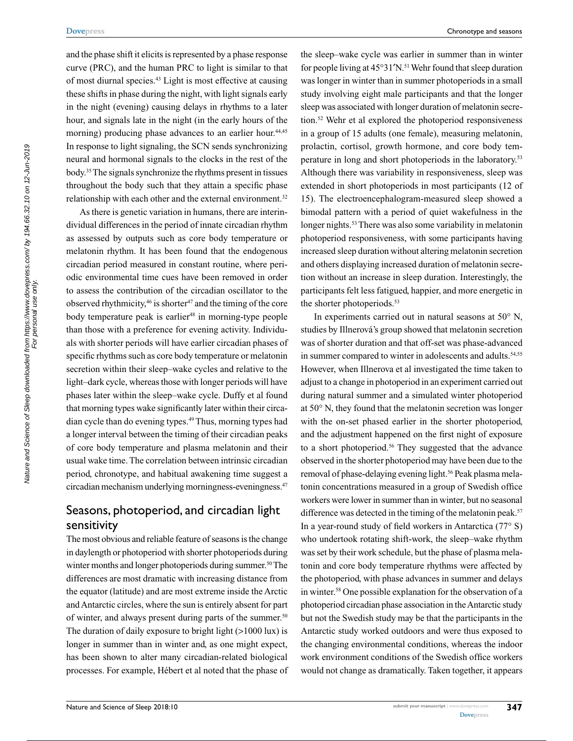and the phase shift it elicits is represented by a phase response curve (PRC), and the human PRC to light is similar to that of most diurnal species.43 Light is most effective at causing these shifts in phase during the night, with light signals early in the night (evening) causing delays in rhythms to a later hour, and signals late in the night (in the early hours of the morning) producing phase advances to an earlier hour.<sup>44,45</sup> In response to light signaling, the SCN sends synchronizing neural and hormonal signals to the clocks in the rest of the body.35 The signals synchronize the rhythms present in tissues throughout the body such that they attain a specific phase relationship with each other and the external environment.<sup>32</sup>

As there is genetic variation in humans, there are interindividual differences in the period of innate circadian rhythm as assessed by outputs such as core body temperature or melatonin rhythm. It has been found that the endogenous circadian period measured in constant routine, where periodic environmental time cues have been removed in order to assess the contribution of the circadian oscillator to the observed rhythmicity,<sup>46</sup> is shorter<sup>47</sup> and the timing of the core body temperature peak is earlier<sup>48</sup> in morning-type people than those with a preference for evening activity. Individuals with shorter periods will have earlier circadian phases of specific rhythms such as core body temperature or melatonin secretion within their sleep–wake cycles and relative to the light–dark cycle, whereas those with longer periods will have phases later within the sleep–wake cycle. Duffy et al found that morning types wake significantly later within their circadian cycle than do evening types.49 Thus, morning types had a longer interval between the timing of their circadian peaks of core body temperature and plasma melatonin and their usual wake time. The correlation between intrinsic circadian period, chronotype, and habitual awakening time suggest a circadian mechanism underlying morningness-eveningness.47

## Seasons, photoperiod, and circadian light sensitivity

The most obvious and reliable feature of seasons is the change in daylength or photoperiod with shorter photoperiods during winter months and longer photoperiods during summer.<sup>50</sup> The differences are most dramatic with increasing distance from the equator (latitude) and are most extreme inside the Arctic and Antarctic circles, where the sun is entirely absent for part of winter, and always present during parts of the summer.<sup>50</sup> The duration of daily exposure to bright light (>1000 lux) is longer in summer than in winter and, as one might expect, has been shown to alter many circadian-related biological processes. For example, Hébert et al noted that the phase of

the sleep–wake cycle was earlier in summer than in winter for people living at  $45^{\circ}31'N$ .<sup>51</sup> Wehr found that sleep duration was longer in winter than in summer photoperiods in a small study involving eight male participants and that the longer sleep was associated with longer duration of melatonin secretion.52 Wehr et al explored the photoperiod responsiveness in a group of 15 adults (one female), measuring melatonin, prolactin, cortisol, growth hormone, and core body temperature in long and short photoperiods in the laboratory.<sup>53</sup> Although there was variability in responsiveness, sleep was extended in short photoperiods in most participants (12 of 15). The electroencephalogram-measured sleep showed a bimodal pattern with a period of quiet wakefulness in the longer nights.<sup>53</sup> There was also some variability in melatonin photoperiod responsiveness, with some participants having increased sleep duration without altering melatonin secretion and others displaying increased duration of melatonin secretion without an increase in sleep duration. Interestingly, the participants felt less fatigued, happier, and more energetic in the shorter photoperiods.<sup>53</sup>

In experiments carried out in natural seasons at  $50^{\circ}$  N, studies by Illnerová's group showed that melatonin secretion was of shorter duration and that off-set was phase-advanced in summer compared to winter in adolescents and adults.<sup>54,55</sup> However, when Illnerova et al investigated the time taken to adjust to a change in photoperiod in an experiment carried out during natural summer and a simulated winter photoperiod at 50° N, they found that the melatonin secretion was longer with the on-set phased earlier in the shorter photoperiod, and the adjustment happened on the first night of exposure to a short photoperiod.<sup>56</sup> They suggested that the advance observed in the shorter photoperiod may have been due to the removal of phase-delaying evening light.<sup>56</sup> Peak plasma melatonin concentrations measured in a group of Swedish office workers were lower in summer than in winter, but no seasonal difference was detected in the timing of the melatonin peak.<sup>57</sup> In a year-round study of field workers in Antarctica  $(77° S)$ who undertook rotating shift-work, the sleep–wake rhythm was set by their work schedule, but the phase of plasma melatonin and core body temperature rhythms were affected by the photoperiod, with phase advances in summer and delays in winter.58 One possible explanation for the observation of a photoperiod circadian phase association in the Antarctic study but not the Swedish study may be that the participants in the Antarctic study worked outdoors and were thus exposed to the changing environmental conditions, whereas the indoor work environment conditions of the Swedish office workers would not change as dramatically. Taken together, it appears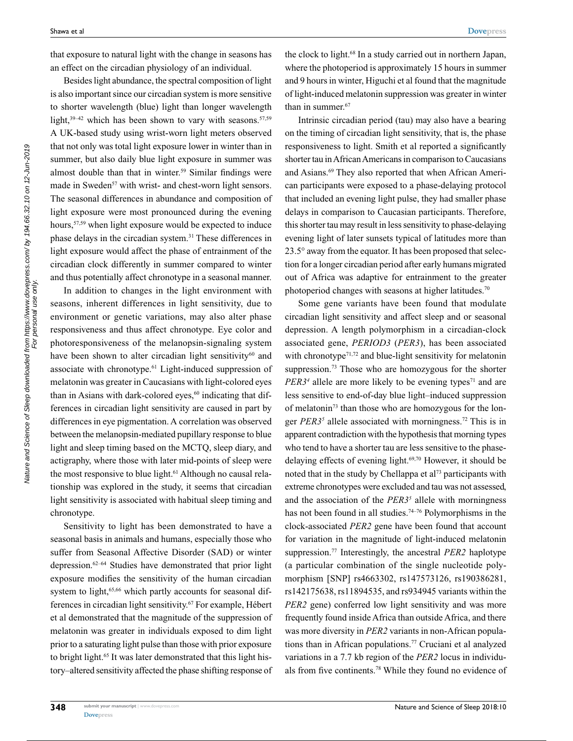that exposure to natural light with the change in seasons has an effect on the circadian physiology of an individual.

Besides light abundance, the spectral composition of light is also important since our circadian system is more sensitive to shorter wavelength (blue) light than longer wavelength light, $39-42$  which has been shown to vary with seasons.  $57,59$ A UK-based study using wrist-worn light meters observed that not only was total light exposure lower in winter than in summer, but also daily blue light exposure in summer was almost double than that in winter.<sup>59</sup> Similar findings were made in Sweden<sup>57</sup> with wrist- and chest-worn light sensors. The seasonal differences in abundance and composition of light exposure were most pronounced during the evening hours,<sup>57,59</sup> when light exposure would be expected to induce phase delays in the circadian system.31 These differences in light exposure would affect the phase of entrainment of the circadian clock differently in summer compared to winter and thus potentially affect chronotype in a seasonal manner.

In addition to changes in the light environment with seasons, inherent differences in light sensitivity, due to environment or genetic variations, may also alter phase responsiveness and thus affect chronotype. Eye color and photoresponsiveness of the melanopsin-signaling system have been shown to alter circadian light sensitivity<sup>60</sup> and associate with chronotype.<sup>61</sup> Light-induced suppression of melatonin was greater in Caucasians with light-colored eyes than in Asians with dark-colored eyes,<sup>60</sup> indicating that differences in circadian light sensitivity are caused in part by differences in eye pigmentation. A correlation was observed between the melanopsin-mediated pupillary response to blue light and sleep timing based on the MCTQ, sleep diary, and actigraphy, where those with later mid-points of sleep were the most responsive to blue light.<sup>61</sup> Although no causal relationship was explored in the study, it seems that circadian light sensitivity is associated with habitual sleep timing and chronotype.

Sensitivity to light has been demonstrated to have a seasonal basis in animals and humans, especially those who suffer from Seasonal Affective Disorder (SAD) or winter depression.62–64 Studies have demonstrated that prior light exposure modifies the sensitivity of the human circadian system to light,<sup>65,66</sup> which partly accounts for seasonal differences in circadian light sensitivity.67 For example, Hébert et al demonstrated that the magnitude of the suppression of melatonin was greater in individuals exposed to dim light prior to a saturating light pulse than those with prior exposure to bright light.<sup>65</sup> It was later demonstrated that this light history–altered sensitivity affected the phase shifting response of

the clock to light.68 In a study carried out in northern Japan, where the photoperiod is approximately 15 hours in summer and 9 hours in winter, Higuchi et al found that the magnitude of light-induced melatonin suppression was greater in winter than in summer.<sup>67</sup>

Intrinsic circadian period (tau) may also have a bearing on the timing of circadian light sensitivity, that is, the phase responsiveness to light. Smith et al reported a significantly shorter tau in African Americans in comparison to Caucasians and Asians.<sup>69</sup> They also reported that when African American participants were exposed to a phase-delaying protocol that included an evening light pulse, they had smaller phase delays in comparison to Caucasian participants. Therefore, this shorter tau may result in less sensitivity to phase-delaying evening light of later sunsets typical of latitudes more than 23.5° away from the equator. It has been proposed that selection for a longer circadian period after early humans migrated out of Africa was adaptive for entrainment to the greater photoperiod changes with seasons at higher latitudes.<sup>70</sup>

Some gene variants have been found that modulate circadian light sensitivity and affect sleep and or seasonal depression. A length polymorphism in a circadian-clock associated gene, *PERIOD3* (*PER3*), has been associated with chronotype $71,72$  and blue-light sensitivity for melatonin suppression.<sup>73</sup> Those who are homozygous for the shorter *PER3<sup>4</sup>* allele are more likely to be evening types<sup>71</sup> and are less sensitive to end-of-day blue light–induced suppression of melatonin73 than those who are homozygous for the longer *PER3<sup>5</sup>* allele associated with morningness.<sup>72</sup> This is in apparent contradiction with the hypothesis that morning types who tend to have a shorter tau are less sensitive to the phasedelaying effects of evening light.69,70 However, it should be noted that in the study by Chellappa et al<sup>73</sup> participants with extreme chronotypes were excluded and tau was not assessed, and the association of the *PER35* allele with morningness has not been found in all studies.<sup>74-76</sup> Polymorphisms in the clock-associated *PER2* gene have been found that account for variation in the magnitude of light-induced melatonin suppression.77 Interestingly, the ancestral *PER2* haplotype (a particular combination of the single nucleotide polymorphism [SNP] rs4663302, rs147573126, rs190386281, rs142175638, rs11894535, and rs934945 variants within the *PER2* gene) conferred low light sensitivity and was more frequently found inside Africa than outside Africa, and there was more diversity in *PER2* variants in non-African populations than in African populations.77 Cruciani et al analyzed variations in a 7.7 kb region of the *PER2* locus in individuals from five continents.78 While they found no evidence of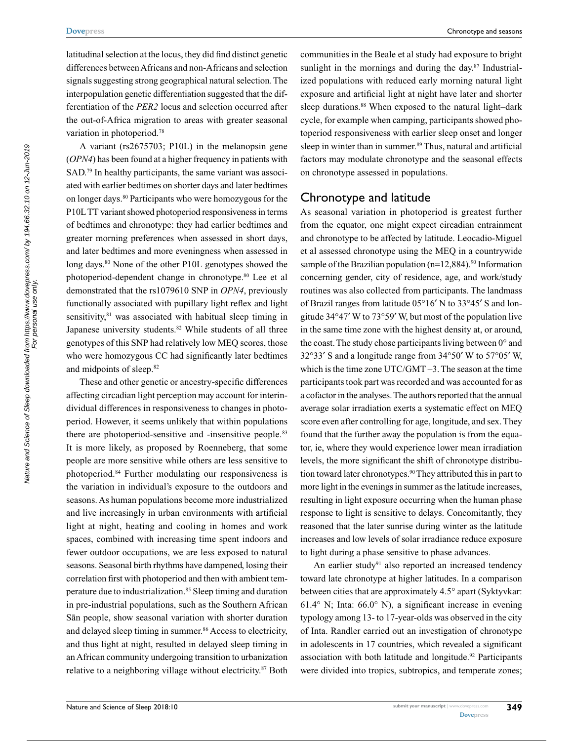latitudinal selection at the locus, they did find distinct genetic differences between Africans and non-Africans and selection signals suggesting strong geographical natural selection. The interpopulation genetic differentiation suggested that the differentiation of the *PER2* locus and selection occurred after the out-of-Africa migration to areas with greater seasonal variation in photoperiod.78

A variant (rs2675703; P10L) in the melanopsin gene (*OPN4*) has been found at a higher frequency in patients with SAD.<sup>79</sup> In healthy participants, the same variant was associated with earlier bedtimes on shorter days and later bedtimes on longer days.80 Participants who were homozygous for the P10L TT variant showed photoperiod responsiveness in terms of bedtimes and chronotype: they had earlier bedtimes and greater morning preferences when assessed in short days, and later bedtimes and more eveningness when assessed in long days.<sup>80</sup> None of the other P10L genotypes showed the photoperiod-dependent change in chronotype.80 Lee et al demonstrated that the rs1079610 SNP in *OPN4*, previously functionally associated with pupillary light reflex and light sensitivity, $81$  was associated with habitual sleep timing in Japanese university students.<sup>82</sup> While students of all three genotypes of this SNP had relatively low MEQ scores, those who were homozygous CC had significantly later bedtimes and midpoints of sleep.82

These and other genetic or ancestry-specific differences affecting circadian light perception may account for interindividual differences in responsiveness to changes in photoperiod. However, it seems unlikely that within populations there are photoperiod-sensitive and -insensitive people.<sup>83</sup> It is more likely, as proposed by Roenneberg, that some people are more sensitive while others are less sensitive to photoperiod.84 Further modulating our responsiveness is the variation in individual's exposure to the outdoors and seasons. As human populations become more industrialized and live increasingly in urban environments with artificial light at night, heating and cooling in homes and work spaces, combined with increasing time spent indoors and fewer outdoor occupations, we are less exposed to natural seasons. Seasonal birth rhythms have dampened, losing their correlation first with photoperiod and then with ambient temperature due to industrialization.<sup>85</sup> Sleep timing and duration in pre-industrial populations, such as the Southern African Sān people, show seasonal variation with shorter duration and delayed sleep timing in summer.<sup>86</sup> Access to electricity, and thus light at night, resulted in delayed sleep timing in an African community undergoing transition to urbanization relative to a neighboring village without electricity.<sup>87</sup> Both

communities in the Beale et al study had exposure to bright sunlight in the mornings and during the day.<sup>87</sup> Industrialized populations with reduced early morning natural light exposure and artificial light at night have later and shorter sleep durations.<sup>88</sup> When exposed to the natural light–dark cycle, for example when camping, participants showed photoperiod responsiveness with earlier sleep onset and longer sleep in winter than in summer.<sup>89</sup> Thus, natural and artificial factors may modulate chronotype and the seasonal effects on chronotype assessed in populations.

#### Chronotype and latitude

As seasonal variation in photoperiod is greatest further from the equator, one might expect circadian entrainment and chronotype to be affected by latitude. Leocadio-Miguel et al assessed chronotype using the MEQ in a countrywide sample of the Brazilian population  $(n=12,884)$ .<sup>90</sup> Information concerning gender, city of residence, age, and work/study routines was also collected from participants. The landmass of Brazil ranges from latitude 05°16′ N to 33°45′ S and longitude 34°47′ W to 73°59′ W, but most of the population live in the same time zone with the highest density at, or around, the coast. The study chose participants living between  $0^{\circ}$  and 32°33′ S and a longitude range from 34°50′ W to 57°05′ W, which is the time zone UTC/GMT –3. The season at the time participants took part was recorded and was accounted for as a cofactor in the analyses. The authors reported that the annual average solar irradiation exerts a systematic effect on MEQ score even after controlling for age, longitude, and sex. They found that the further away the population is from the equator, ie, where they would experience lower mean irradiation levels, the more significant the shift of chronotype distribution toward later chronotypes.<sup>90</sup> They attributed this in part to more light in the evenings in summer as the latitude increases, resulting in light exposure occurring when the human phase response to light is sensitive to delays. Concomitantly, they reasoned that the later sunrise during winter as the latitude increases and low levels of solar irradiance reduce exposure to light during a phase sensitive to phase advances.

An earlier study $91$  also reported an increased tendency toward late chronotype at higher latitudes. In a comparison between cities that are approximately 4.5° apart (Syktyvkar: 61.4° N; Inta: 66.0° N), a significant increase in evening typology among 13- to 17-year-olds was observed in the city of Inta. Randler carried out an investigation of chronotype in adolescents in 17 countries, which revealed a significant association with both latitude and longitude.<sup>92</sup> Participants were divided into tropics, subtropics, and temperate zones;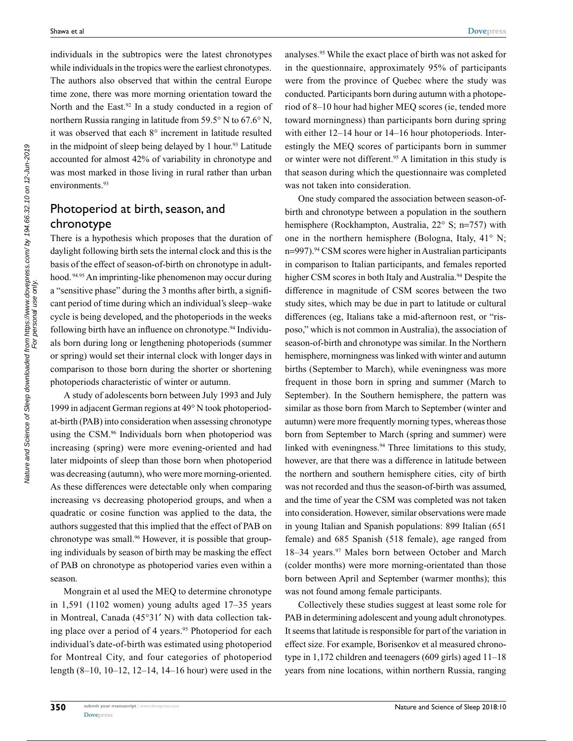individuals in the subtropics were the latest chronotypes while individuals in the tropics were the earliest chronotypes. The authors also observed that within the central Europe time zone, there was more morning orientation toward the North and the East.<sup>92</sup> In a study conducted in a region of northern Russia ranging in latitude from 59.5° N to 67.6° N, it was observed that each 8° increment in latitude resulted in the midpoint of sleep being delayed by 1 hour.<sup>93</sup> Latitude accounted for almost 42% of variability in chronotype and was most marked in those living in rural rather than urban environments.<sup>93</sup>

## Photoperiod at birth, season, and chronotype

There is a hypothesis which proposes that the duration of daylight following birth sets the internal clock and this is the basis of the effect of season-of-birth on chronotype in adulthood. 94.95 An imprinting-like phenomenon may occur during a "sensitive phase" during the 3 months after birth, a significant period of time during which an individual's sleep–wake cycle is being developed, and the photoperiods in the weeks following birth have an influence on chronotype.94 Individuals born during long or lengthening photoperiods (summer or spring) would set their internal clock with longer days in comparison to those born during the shorter or shortening photoperiods characteristic of winter or autumn.

A study of adolescents born between July 1993 and July 1999 in adjacent German regions at 49° N took photoperiodat-birth (PAB) into consideration when assessing chronotype using the CSM.96 Individuals born when photoperiod was increasing (spring) were more evening-oriented and had later midpoints of sleep than those born when photoperiod was decreasing (autumn), who were more morning-oriented. As these differences were detectable only when comparing increasing vs decreasing photoperiod groups, and when a quadratic or cosine function was applied to the data, the authors suggested that this implied that the effect of PAB on chronotype was small.<sup>96</sup> However, it is possible that grouping individuals by season of birth may be masking the effect of PAB on chronotype as photoperiod varies even within a season.

Mongrain et al used the MEQ to determine chronotype in 1,591 (1102 women) young adults aged 17–35 years in Montreal, Canada (45°31′ N) with data collection taking place over a period of 4 years.<sup>95</sup> Photoperiod for each individual's date-of-birth was estimated using photoperiod for Montreal City, and four categories of photoperiod length (8–10, 10–12, 12–14, 14–16 hour) were used in the analyses.95 While the exact place of birth was not asked for in the questionnaire, approximately 95% of participants were from the province of Quebec where the study was conducted. Participants born during autumn with a photoperiod of 8–10 hour had higher MEQ scores (ie, tended more toward morningness) than participants born during spring with either 12–14 hour or 14–16 hour photoperiods. Interestingly the MEQ scores of participants born in summer or winter were not different.<sup>95</sup> A limitation in this study is that season during which the questionnaire was completed was not taken into consideration.

One study compared the association between season-ofbirth and chronotype between a population in the southern hemisphere (Rockhampton, Australia, 22° S; n=757) with one in the northern hemisphere (Bologna, Italy, 41° N; n=997).<sup>94</sup> CSM scores were higher in Australian participants in comparison to Italian participants, and females reported higher CSM scores in both Italy and Australia.<sup>94</sup> Despite the difference in magnitude of CSM scores between the two study sites, which may be due in part to latitude or cultural differences (eg, Italians take a mid-afternoon rest, or "risposo," which is not common in Australia), the association of season-of-birth and chronotype was similar. In the Northern hemisphere, morningness was linked with winter and autumn births (September to March), while eveningness was more frequent in those born in spring and summer (March to September). In the Southern hemisphere, the pattern was similar as those born from March to September (winter and autumn) were more frequently morning types, whereas those born from September to March (spring and summer) were linked with eveningness.94 Three limitations to this study, however, are that there was a difference in latitude between the northern and southern hemisphere cities, city of birth was not recorded and thus the season-of-birth was assumed, and the time of year the CSM was completed was not taken into consideration. However, similar observations were made in young Italian and Spanish populations: 899 Italian (651 female) and 685 Spanish (518 female), age ranged from 18–34 years.<sup>97</sup> Males born between October and March (colder months) were more morning-orientated than those born between April and September (warmer months); this was not found among female participants.

Collectively these studies suggest at least some role for PAB in determining adolescent and young adult chronotypes. It seems that latitude is responsible for part of the variation in effect size. For example, Borisenkov et al measured chronotype in 1,172 children and teenagers (609 girls) aged 11–18 years from nine locations, within northern Russia, ranging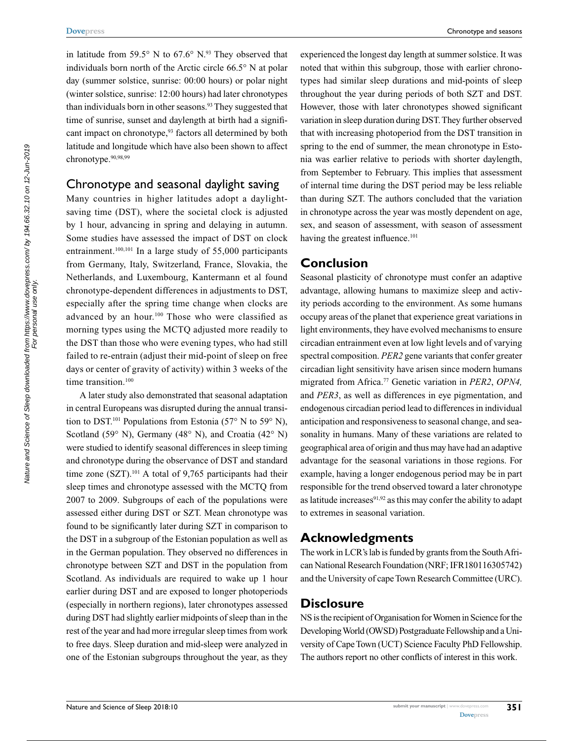in latitude from 59.5 $\degree$  N to 67.6 $\degree$  N.<sup>93</sup> They observed that individuals born north of the Arctic circle 66.5° N at polar day (summer solstice, sunrise: 00:00 hours) or polar night (winter solstice, sunrise: 12:00 hours) had later chronotypes than individuals born in other seasons.<sup>93</sup> They suggested that time of sunrise, sunset and daylength at birth had a significant impact on chronotype,<sup>93</sup> factors all determined by both latitude and longitude which have also been shown to affect chronotype.<sup>90,98,99</sup>

#### Chronotype and seasonal daylight saving

Many countries in higher latitudes adopt a daylightsaving time (DST), where the societal clock is adjusted by 1 hour, advancing in spring and delaying in autumn. Some studies have assessed the impact of DST on clock entrainment.<sup>100,101</sup> In a large study of 55,000 participants from Germany, Italy, Switzerland, France, Slovakia, the Netherlands, and Luxembourg, Kantermann et al found chronotype-dependent differences in adjustments to DST, especially after the spring time change when clocks are advanced by an hour.100 Those who were classified as morning types using the MCTQ adjusted more readily to the DST than those who were evening types, who had still failed to re-entrain (adjust their mid-point of sleep on free days or center of gravity of activity) within 3 weeks of the time transition.<sup>100</sup>

A later study also demonstrated that seasonal adaptation in central Europeans was disrupted during the annual transition to DST.<sup>101</sup> Populations from Estonia (57° N to 59° N), Scotland (59° N), Germany (48° N), and Croatia (42° N) were studied to identify seasonal differences in sleep timing and chronotype during the observance of DST and standard time zone  $(SZT)$ .<sup>101</sup> A total of 9,765 participants had their sleep times and chronotype assessed with the MCTQ from 2007 to 2009. Subgroups of each of the populations were assessed either during DST or SZT. Mean chronotype was found to be significantly later during SZT in comparison to the DST in a subgroup of the Estonian population as well as in the German population. They observed no differences in chronotype between SZT and DST in the population from Scotland. As individuals are required to wake up 1 hour earlier during DST and are exposed to longer photoperiods (especially in northern regions), later chronotypes assessed during DST had slightly earlier midpoints of sleep than in the rest of the year and had more irregular sleep times from work to free days. Sleep duration and mid-sleep were analyzed in one of the Estonian subgroups throughout the year, as they

experienced the longest day length at summer solstice. It was noted that within this subgroup, those with earlier chronotypes had similar sleep durations and mid-points of sleep throughout the year during periods of both SZT and DST. However, those with later chronotypes showed significant variation in sleep duration during DST. They further observed that with increasing photoperiod from the DST transition in spring to the end of summer, the mean chronotype in Estonia was earlier relative to periods with shorter daylength, from September to February. This implies that assessment of internal time during the DST period may be less reliable than during SZT. The authors concluded that the variation in chronotype across the year was mostly dependent on age, sex, and season of assessment, with season of assessment having the greatest influence.<sup>101</sup>

### **Conclusion**

Seasonal plasticity of chronotype must confer an adaptive advantage, allowing humans to maximize sleep and activity periods according to the environment. As some humans occupy areas of the planet that experience great variations in light environments, they have evolved mechanisms to ensure circadian entrainment even at low light levels and of varying spectral composition. *PER2* gene variants that confer greater circadian light sensitivity have arisen since modern humans migrated from Africa.77 Genetic variation in *PER2*, *OPN4,* and *PER3*, as well as differences in eye pigmentation, and endogenous circadian period lead to differences in individual anticipation and responsiveness to seasonal change, and seasonality in humans. Many of these variations are related to geographical area of origin and thus may have had an adaptive advantage for the seasonal variations in those regions. For example, having a longer endogenous period may be in part responsible for the trend observed toward a later chronotype as latitude increases $91,92$  as this may confer the ability to adapt to extremes in seasonal variation.

## **Acknowledgments**

The work in LCR's lab is funded by grants from the South African National Research Foundation (NRF; IFR180116305742) and the University of cape Town Research Committee (URC).

## **Disclosure**

NS is the recipient of Organisation for Women in Science for the Developing World (OWSD) Postgraduate Fellowship and a University of Cape Town (UCT) Science Faculty PhD Fellowship. The authors report no other conflicts of interest in this work.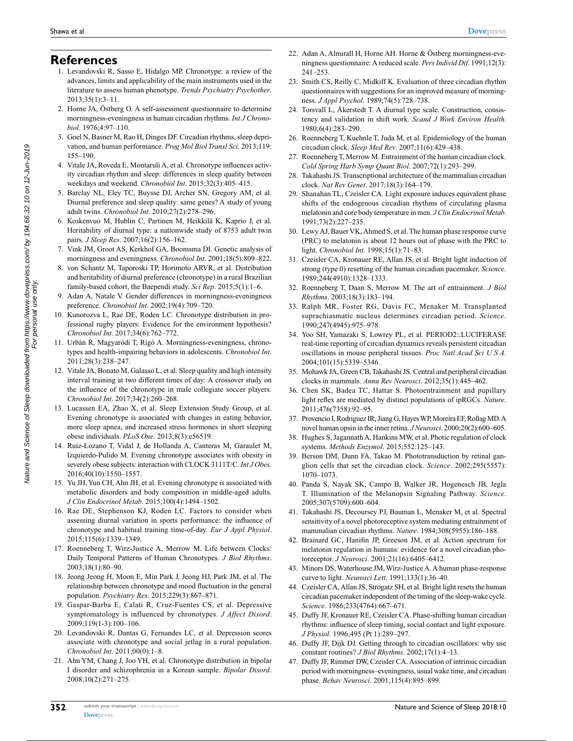#### **References**

- 1. Levandovski R, Sasso E, Hidalgo MP. Chronotype: a review of the advances, limits and applicability of the main instruments used in the literature to assess human phenotype. *Trends Psychiatry Psychother*. 2013;35(1):3–11.
- 2. Horne JA, Östberg O. A self-assessment questionnaire to determine morningness-eveningness in human circadian rhythms. *Int J Chronobiol*. 1976;4:97–110.
- 3. Goel N, Basner M, Rao H, Dinges DF. Circadian rhythms, sleep deprivation, and human performance. *Prog Mol Biol Transl Sci*. 2013;119: 155–190.
- 4. Vitale JA, Roveda E, Montaruli A, et al. Chronotype influences activity circadian rhythm and sleep: differences in sleep quality between weekdays and weekend. *Chronobiol Int*. 2015;32(3):405–415.
- 5. Barclay NL, Eley TC, Buysse DJ, Archer SN, Gregory AM, et al. Diurnal preference and sleep quality: same genes? A study of young adult twins. *Chronobiol Int*. 2010;27(2):278–296.
- 6. Koskenvuo M, Hublin C, Partinen M, Heikkilä K, Kaprio J, et al. Heritability of diurnal type: a nationwide study of 8753 adult twin pairs. *J Sleep Res*. 2007;16(2):156–162.
- 7. Vink JM, Groot AS, Kerkhof GA, Boomsma DI. Genetic analysis of morningness and eveningness. *Chronobiol Int*. 2001;18(5):809–822.
- 8. von Schantz M, Taporoski TP, Horimoto ARVR, et al. Distribution and heritability of diurnal preference (chronotype) in a rural Brazilian family-based cohort, the Baependi study. *Sci Rep*. 2015;5(1):1–6.
- 9. Adan A, Natale V. Gender differences in morningness-eveningness preference. *Chronobiol Int*. 2002;19(4):709–720.
- 10. Kunorozva L, Rae DE, Roden LC. Chronotype distribution in professional rugby players: Evidence for the environment hypothesis? *Chronobiol Int*. 2017;34(6):762–772.
- 11. Urbán R, Magyaródi T, Rigó A. Morningness-eveningness, chronotypes and health-impairing behaviors in adolescents. *Chronobiol Int*. 2011;28(3):238–247.
- 12. Vitale JA, Bonato M, Galasso L, et al. Sleep quality and high intensity interval training at two different times of day: A crossover study on the influence of the chronotype in male collegiate soccer players. *Chronobiol Int*. 2017;34(2):260–268.
- 13. Lucassen EA, Zhao X, et al. Sleep Extension Study Group, et al. Evening chronotype is associated with changes in eating behavior, more sleep apnea, and increased stress hormones in short sleeping obese individuals. *PLoS One*. 2013;8(3):e56519.
- 14. Ruiz-Lozano T, Vidal J, de Hollanda A, Canteras M, Garaulet M, Izquierdo-Pulido M. Evening chronotype associates with obesity in severely obese subjects: interaction with CLOCK 3111T/C. *Int J Obes*. 2016;40(10):1550–1557.
- 15. Yu JH, Yun CH, Ahn JH, et al. Evening chronotype is associated with metabolic disorders and body composition in middle-aged adults. *J Clin Endocrinol Metab*. 2015;100(4):1494–1502.
- 16. Rae DE, Stephenson KJ, Roden LC. Factors to consider when assessing diurnal variation in sports performance: the influence of chronotype and habitual training time-of-day. *Eur J Appl Physiol*. 2015;115(6):1339–1349.
- 17. Roenneberg T, Wirz-Justice A, Merrow M. Life between Clocks: Daily Temporal Patterns of Human Chronotypes. *J Biol Rhythms*. 2003;18(1):80–90.
- 18. Jeong Jeong H, Moon E, Min Park J, Jeong HJ, Park JM, et al. The relationship between chronotype and mood fluctuation in the general population. *Psychiatry Res*. 2015;229(3):867–871.
- 19. Gaspar-Barba E, Calati R, Cruz-Fuentes CS, et al. Depressive symptomatology is influenced by chronotypes. *J Affect Disord*. 2009;119(1-3):100–106.
- 20. Levandovski R, Dantas G, Fernandes LC, et al. Depression scores associate with chronotype and social jetlag in a rural population. *Chronobiol Int*. 2011;00(0):1–8.
- 21. Ahn YM, Chang J, Joo YH, et al. Chronotype distribution in bipolar I disorder and schizophrenia in a Korean sample. *Bipolar Disord*. 2008;10(2):271–275.
- 22. Adan A, Almirall H, Horne AH. Horne & Östberg morningness-eveningness questionnaire: A reduced scale. *Pers Individ Dif*. 1991;12(3): 241–253.
- 23. Smith CS, Reilly C, Midkiff K. Evaluation of three circadian rhythm questionnaires with suggestions for an improved measure of morningness. *J Appl Psychol*. 1989;74(5):728–738.
- 24. Torsvall L, Åkerstedt T. A diurnal type scale. Construction, consistency and validation in shift work. *Scand J Work Environ Health*. 1980;6(4):283–290.
- 26. Roenneberg T, Kuehnle T, Juda M, et al. Epidemiology of the human circadian clock. *Sleep Med Rev*. 2007;11(6):429–438.
- 27. Roenneberg T, Merrow M. Entrainment of the human circadian clock. *Cold Spring Harb Symp Quant Biol*. 2007;72(1):293–299.
- 28. Takahashi JS. Transcriptional architecture of the mammalian circadian clock. *Nat Rev Genet*. 2017;18(3):164–179.
- 29. Shanahan TL, Czeisler CA. Light exposure induces equivalent phase shifts of the endogenous circadian rhythms of circulating plasma melatonin and core body temperature in men. *J Clin Endocrinol Metab*. 1991;73(2):227–235.
- 30. Lewy AJ, Bauer VK, Ahmed S, et al. The human phase response curve (PRC) to melatonin is about 12 hours out of phase with the PRC to light. *Chronobiol Int*. 1998;15(1):71–83.
- 31. Czeisler CA, Kronauer RE, Allan JS, et al. Bright light induction of strong (type 0) resetting of the human circadian pacemaker. *Science*. 1989;244(4910):1328–1333.
- 32. Roenneberg T, Daan S, Merrow M. The art of entrainment. *J Biol Rhythms*. 2003;18(3):183–194.
- 33. Ralph MR, Foster RG, Davis FC, Menaker M. Transplanted suprachiasmatic nucleus determines circadian period. *Science*. 1990;247(4945):975–978.
- 34. Yoo SH, Yamazaki S, Lowrey PL, et al. PERIOD2::LUCIFERASE real-time reporting of circadian dynamics reveals persistent circadian oscillations in mouse peripheral tissues. *Proc Natl Acad Sci U S A*. 2004;101(15):5339–5346.
- 35. Mohawk JA, Green CB, Takahashi JS. Central and peripheral circadian clocks in mammals. *Annu Rev Neurosci*. 2012;35(1):445–462.
- 36. Chen SK, Badea TC, Hattar S. Photoentrainment and pupillary light reflex are mediated by distinct populations of ipRGCs. *Nature*. 2011;476(7358):92–95.
- 37. Provencio I, Rodriguez IR, Jiang G, Hayes WP, Moreira EF, Rollag MD. A novel human opsin in the inner retina. *J Neurosci*. 2000;20(2):600–605.
- 38. Hughes S, Jagannath A, Hankins MW, et al. Photic regulation of clock systems. *Methods Enzymol*. 2015;552:125–143.
- 39. Berson DM, Dunn FA, Takao M. Phototransduction by retinal ganglion cells that set the circadian clock. *Science*. 2002;295(5557): 1070–1073.
- 40. Panda S, Nayak SK, Campo B, Walker JR, Hogenesch JB, Jegla T. Illumination of the Melanopsin Signaling Pathway. *Science*. 2005;307(5709):600–604.
- 41. Takahashi JS, Decoursey PJ, Bauman L, Menaker M, et al. Spectral sensitivity of a novel photoreceptive system mediating entrainment of mammalian circadian rhythms. *Nature*. 1984;308(5955):186–188.
- 42. Brainard GC, Hanifin JP, Greeson JM, et al. Action spectrum for melatonin regulation in humans: evidence for a novel circadian photoreceptor. *J Neurosci*. 2001;21(16):6405–6412.
- 43. Minors DS, Waterhouse JM, Wirz-Justice A. A human phase-response curve to light. *Neurosci Lett*. 1991;133(1):36–40.
- 44. Czeisler CA, Allan JS, Strogatz SH, et al. Bright light resets the human circadian pacemaker independent of the timing of the sleep-wake cycle. *Science*. 1986;233(4764):667–671.
- 45. Duffy JF, Kronauer RE, Czeisler CA. Phase-shifting human circadian rhythms: influence of sleep timing, social contact and light exposure. *J Physiol*. 1996;495 (Pt 1):289–297.
- 46. Duffy JF, Dijk DJ. Getting through to circadian oscillators: why use constant routines? *J Biol Rhythms*. 2002;17(1):4–13.
- 47. Duffy JF, Rimmer DW, Czeisler CA. Association of intrinsic circadian period with morningness–eveningness, usual wake time, and circadian phase. *Behav Neurosci*. 2001;115(4):895–899.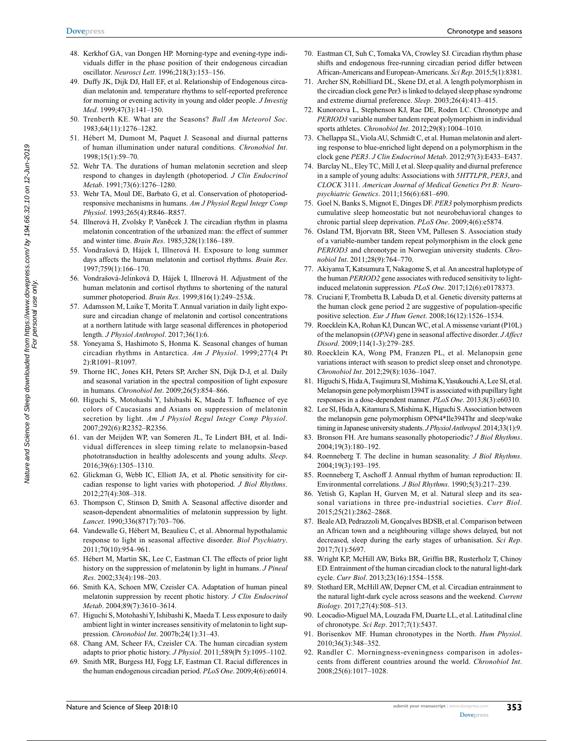- 48. Kerkhof GA, van Dongen HP. Morning-type and evening-type individuals differ in the phase position of their endogenous circadian oscillator. *Neurosci Lett*. 1996;218(3):153–156.
- 49. Duffy JK, Dijk DJ, Hall EF, et al. Relationship of Endogenous circadian melatonin and. temperature rhythms to self-reported preference for morning or evening activity in young and older people. *J Investig Med*. 1999;47(3):141–150.
- 50. Trenberth KE. What are the Seasons? *Bull Am Meteorol Soc*. 1983;64(11):1276–1282.
- 51. Hébert M, Dumont M, Paquet J. Seasonal and diurnal patterns of human illumination under natural conditions. *Chronobiol Int*. 1998;15(1):59–70.
- 52. Wehr TA. The durations of human melatonin secretion and sleep respond to changes in daylength (photoperiod. *J Clin Endocrinol Metab*. 1991;73(6):1276–1280.
- 53. Wehr TA, Moul DE, Barbato G, et al. Conservation of photoperiodresponsive mechanisms in humans. *Am J Physiol Regul Integr Comp Physiol*. 1993;265(4):R846–R857.
- 54. Illnerová H, Zvolsky P, Vanĕcek J. The circadian rhythm in plasma melatonin concentration of the urbanized man: the effect of summer and winter time. *Brain Res*. 1985;328(1):186–189.
- 55. Vondrašová D, Hájek I, Illnerová H. Exposure to long summer days affects the human melatonin and cortisol rhythms. *Brain Res*. 1997;759(1):166–170.
- 56. Vondrašová-Jelı́nková D, Hájek I, Illnerová H. Adjustment of the human melatonin and cortisol rhythms to shortening of the natural summer photoperiod. *Brain Res*. 1999;816(1):249–253&.
- 57. Adamsson M, Laike T, Morita T. Annual variation in daily light exposure and circadian change of melatonin and cortisol concentrations at a northern latitude with large seasonal differences in photoperiod length. *J Physiol Anthropol*. 2017;36(1):6.
- 58. Yoneyama S, Hashimoto S, Honma K. Seasonal changes of human circadian rhythms in Antarctica. *Am J Physiol*. 1999;277(4 Pt 2):R1091–R1097.
- 59. Thorne HC, Jones KH, Peters SP, Archer SN, Dijk D-J, et al. Daily and seasonal variation in the spectral composition of light exposure in humans. *Chronobiol Int*. 2009;26(5):854–866.
- 60. Higuchi S, Motohashi Y, Ishibashi K, Maeda T. Influence of eye colors of Caucasians and Asians on suppression of melatonin secretion by light. *Am J Physiol Regul Integr Comp Physiol*. 2007;292(6):R2352–R2356.
- 61. van der Meijden WP, van Someren JL, Te Lindert BH, et al. Individual differences in sleep timing relate to melanopsin-based phototransduction in healthy adolescents and young adults. *Sleep*. 2016;39(6):1305–1310.
- 62. Glickman G, Webb IC, Elliott JA, et al. Photic sensitivity for circadian response to light varies with photoperiod. *J Biol Rhythms*. 2012;27(4):308–318.
- 63. Thompson C, Stinson D, Smith A. Seasonal affective disorder and season-dependent abnormalities of melatonin suppression by light. *Lancet*. 1990;336(8717):703–706.
- 64. Vandewalle G, Hébert M, Beaulieu C, et al. Abnormal hypothalamic response to light in seasonal affective disorder. *Biol Psychiatry*. 2011;70(10):954–961.
- 65. Hébert M, Martin SK, Lee C, Eastman CI. The effects of prior light history on the suppression of melatonin by light in humans. *J Pineal Res*. 2002;33(4):198–203.
- 66. Smith KA, Schoen MW, Czeisler CA. Adaptation of human pineal melatonin suppression by recent photic history. *J Clin Endocrinol Metab*. 2004;89(7):3610–3614.
- 67. Higuchi S, Motohashi Y, Ishibashi K, Maeda T. Less exposure to daily ambient light in winter increases sensitivity of melatonin to light suppression. *Chronobiol Int*. 2007b;24(1):31–43.
- 68. Chang AM, Scheer FA, Czeisler CA. The human circadian system adapts to prior photic history. *J Physiol*. 2011;589(Pt 5):1095–1102.
- 69. Smith MR, Burgess HJ, Fogg LF, Eastman CI. Racial differences in the human endogenous circadian period. *PLoS One*. 2009;4(6):e6014.
- 70. Eastman CI, Suh C, Tomaka VA, Crowley SJ. Circadian rhythm phase shifts and endogenous free-running circadian period differ between African-Americans and European-Americans. *Sci Rep*. 2015;5(1):8381.
- 71. Archer SN, Robilliard DL, Skene DJ, et al. A length polymorphism in the circadian clock gene Per3 is linked to delayed sleep phase syndrome and extreme diurnal preference. *Sleep*. 2003;26(4):413–415.
- 72. Kunorozva L, Stephenson KJ, Rae DE, Roden LC. Chronotype and *PERIOD3* variable number tandem repeat polymorphism in individual sports athletes. *Chronobiol Int*. 2012;29(8):1004–1010.
- 73. Chellappa SL, Viola AU, Schmidt C, et al. Human melatonin and alerting response to blue-enriched light depend on a polymorphism in the clock gene *PER3*. *J Clin Endocrinol Metab*. 2012;97(3):E433–E437.
- 74. Barclay NL, Eley TC, Mill J, et al. Sleep quality and diurnal preference in a sample of young adults: Associations with *5HTTLPR*, *PER3*, and *CLOCK* 3111. *American Journal of Medical Genetics Prt B: Neuropsychiatric Genetics*. 2011;156(6):681–690.
- 75. Goel N, Banks S, Mignot E, Dinges DF. *PER3* polymorphism predicts cumulative sleep homeostatic but not neurobehavioral changes to chronic partial sleep deprivation. *PLoS One*. 2009;4(6):e5874.
- 76. Osland TM, Bjorvatn BR, Steen VM, Pallesen S. Association study of a variable-number tandem repeat polymorphism in the clock gene *PERIOD3* and chronotype in Norwegian university students. *Chronobiol Int*. 2011;28(9):764–770.
- 77. Akiyama T, Katsumura T, Nakagome S, et al. An ancestral haplotype of the human *PERIOD2* gene associates with reduced sensitivity to lightinduced melatonin suppression. *PLoS One*. 2017;12(6):e0178373.
- 78. Cruciani F, Trombetta B, Labuda D, et al. Genetic diversity patterns at the human clock gene period 2 are suggestive of population-specific positive selection. *Eur J Hum Genet*. 2008;16(12):1526–1534.
- 79. Roecklein KA, Rohan KJ, Duncan WC, et al. A missense variant (P10L) of the melanopsin (*OPN4*) gene in seasonal affective disorder. *J Affect Disord*. 2009;114(1-3):279–285.
- 80. Roecklein KA, Wong PM, Franzen PL, et al. Melanopsin gene variations interact with season to predict sleep onset and chronotype. *Chronobiol Int*. 2012;29(8):1036–1047.
- 81. Higuchi S, Hida A, Tsujimura SI, Mishima K, Yasukouchi A, Lee SI, et al. Melanopsin gene polymorphism I394T is associated with pupillary light responses in a dose-dependent manner. *PLoS One*. 2013;8(3):e60310.
- 82. Lee SI, Hida A, Kitamura S, Mishima K, Higuchi S. Association between the melanopsin gene polymorphism OPN4\*Ile394Thr and sleep/wake timing in Japanese university students. *J Physiol Anthropol*. 2014;33(1):9.
- 83. Bronson FH. Are humans seasonally photoperiodic? *J Biol Rhythms*. 2004;19(3):180–192.
- 84. Roenneberg T. The decline in human seasonality. *J Biol Rhythms*. 2004;19(3):193–195.
- 85. Roenneberg T, Aschoff J. Annual rhythm of human reproduction: II. Environmental correlations. *J Biol Rhythms*. 1990;5(3):217–239.
- 86. Yetish G, Kaplan H, Gurven M, et al. Natural sleep and its seasonal variations in three pre-industrial societies. *Curr Biol*. 2015;25(21):2862–2868.
- 87. Beale AD, Pedrazzoli M, Gonçalves BDSB, et al. Comparison between an African town and a neighbouring village shows delayed, but not decreased, sleep during the early stages of urbanisation. *Sci Rep*. 2017;7(1):5697.
- 88. Wright KP, McHill AW, Birks BR, Griffin BR, Rusterholz T, Chinoy ED. Entrainment of the human circadian clock to the natural light-dark cycle. *Curr Biol*. 2013;23(16):1554–1558.
- 89. Stothard ER, McHill AW, Depner CM, et al. Circadian entrainment to the natural light-dark cycle across seasons and the weekend. *Current Biology*. 2017;27(4):508–513.
- 90. Leocadio-Miguel MA, Louzada FM, Duarte LL, et al. Latitudinal cline of chronotype. *Sci Rep*. 2017;7(1):5437.
- 91. Borisenkov MF. Human chronotypes in the North. *Hum Physiol*. 2010;36(3):348–352.
- 92. Randler C. Morningness-eveningness comparison in adolescents from different countries around the world. *Chronobiol Int*. 2008;25(6):1017–1028.